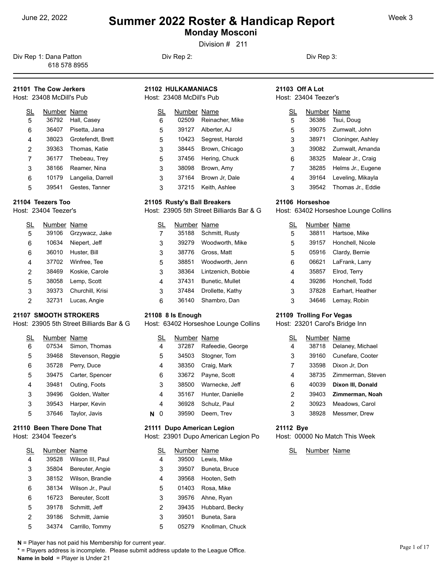**Monday Mosconi** 

Division # 211

Div Rep 1: Dana Patton **Div Rep 2:** Div Rep 2: Div Rep 3: Div Rep 3: 618 578 8955

#### **21101 The Cow Jerkers** Host: 23408 McDill's Pub

| SL | Number Name |                     | <u>SL</u> |
|----|-------------|---------------------|-----------|
| 5  | 36792       | Hall, Casey         | 6         |
| 6  | 36407       | Pisetta, Jana       | 5         |
| 4  | 38023       | Grotefendt, Brett   | 5         |
| 2  | 39363       | Thomas, Katie       | 3         |
| 7  |             | 36177 Thebeau, Trey | 5         |
| 3  | 38166       | Reamer, Nina        | 3         |
| 6  | 10179       | Langelia, Darrell   | 3         |
| 5  | 39541       | Gestes, Tanner      | 3         |

#### **21104 Teezers Too**

Host: 23404 Teezer's

| SL | Number Name |                  |   |
|----|-------------|------------------|---|
| 5  | 39106       | Grzywacz, Jake   | 7 |
| 6  | 10634       | Niepert, Jeff    | 3 |
| 6  | 36010       | Huster, Bill     | 3 |
| 4  | 37702       | Winfree, Tee     | 5 |
| 2  | 38469       | Koskie, Carole   | 3 |
| 5  | 38058       | Lemp, Scott      | 4 |
| 3  | 39373       | Churchill, Krisi | 3 |
| 2  | 32731       | Lucas, Angie     | 6 |

#### **21107 SMOOTH STROKERS**

Host: 23905 5th Street Billiards Bar & G

| SL | Number Name |                   | SL | Nu |
|----|-------------|-------------------|----|----|
| 6  | 07534       | Simon, Thomas     | 4  | 3. |
| 5  | 39468       | Stevenson, Reggie | 5  | 34 |
| 6  | 35728       | Perry, Duce       | 4  | 38 |
| 5  | 39475       | Carter, Spencer   | 6  | 3. |
| 4  | 39481       | Outing, Foots     | 3  | 38 |
| 3  | 39496       | Golden, Walter    | 4  | 3  |
| 3  | 39543       | Harper, Kevin     | 4  | 36 |
| 5  | 37646       | Taylor, Javis     | O  | 3  |

### **21110 Been There Done That**

Host: 23404 Teezer's

| SL | Number Name |                  | SL | Number Name |                 | <u>SL</u> |
|----|-------------|------------------|----|-------------|-----------------|-----------|
| 4  | 39528       | Wilson III, Paul | 4  | 39500       | Lewis, Mike     |           |
| 3  | 35804       | Bereuter, Angie  | 3  | 39507       | Buneta, Bruce   |           |
| 3  | 38152       | Wilson, Brandie  | 4  | 39568       | Hooten, Seth    |           |
| 6  | 38134       | Wilson Jr., Paul | 5  | 01403       | Rosa, Mike      |           |
| 6  | 16723       | Bereuter, Scott  | 3  | 39576       | Ahne, Ryan      |           |
| 5  | 39178       | Schmitt. Jeff    | 2  | 39435       | Hubbard, Becky  |           |
| 2  | 39186       | Schmitt, Jamie   | 3  | 39501       | Buneta, Sara    |           |
| 5  | 34374       | Carrillo, Tommy  | 5  | 05279       | Knollman, Chuck |           |

**21102 HULKAMANIACS** Host: 23408 McDill's Pub

| SL | Number Name |                 | <u>SL</u> |  |
|----|-------------|-----------------|-----------|--|
| 6  | 02509       | Reinacher, Mike | 5         |  |
| 5  | 39127       | Alberter, AJ    | 5         |  |
| 5  | 10423       | Segrest, Harold | 3         |  |
| 3  | 38445       | Brown, Chicago  | 3         |  |
| 5  | 37456       | Hering, Chuck   | 6         |  |
| 3  | 38098       | Brown, Amy      | 7         |  |
| 3  | 37164       | Brown Jr, Dale  | 4         |  |
| 3  | 37215       | Keith, Ashlee   | 3         |  |

#### **21105 Rusty's Ball Breakers**

Host: 23905 5th Street Billiards Bar & G

| SL             | Number Name |                    | <u>SL</u> | Νι |
|----------------|-------------|--------------------|-----------|----|
| 7              | 35188       | Schmitt, Rusty     | 5         | 3  |
| 3              | 39279       | Woodworth, Mike    | 5         | 3  |
| 3              | 38776       | Gross, Matt        | 5         | 0  |
| 5              | 38851       | Woodworth, Jenn    | 6         | 0  |
| 3              | 38364       | Lintzenich, Bobbie | 4         | 3  |
| $\overline{4}$ | 37431       | Bunetic, Mullet    | 4         | 3  |
| 3              | 37484       | Drollette, Kathy   | 3         | 3  |
| 6              | 36140       | Shambro, Dan       | 3         | 3  |

#### **21108 8 Is Enough**

Host: 63402 Horseshoe Lounge Collins

|   | SL | Number Name |                  | SL | Number |
|---|----|-------------|------------------|----|--------|
|   | 4  | 37287       | Rafeedie, George | 4  | 38718  |
|   | 5  | 34503       | Stogner, Tom     | 3  | 39160  |
|   | 4  | 38350       | Craig, Mark      | 7  | 33598  |
|   | 6  | 33672       | Payne, Scott     | 4  | 38735  |
|   | 3  | 38500       | Warnecke, Jeff   | 6  | 40039  |
|   | 4  | 35167       | Hunter, Danielle | 2  | 39403  |
|   | 4  | 36928       | Schulz, Paul     | 2  | 30923  |
| N |    | 39590       | Deem, Trev       | 3  | 38928  |

#### **21111 Dupo American Legion**

Host: 23901 Dupo American Legion Po

| <u>SL</u>      | Number Name |                      |  |
|----------------|-------------|----------------------|--|
| $\overline{4}$ |             | 39500 Lewis, Mike    |  |
| 3              |             | 39507 Buneta, Bruce  |  |
| 4              |             | 39568 Hooten, Seth   |  |
| 5              | 01403       | Rosa, Mike           |  |
| 3              | 39576       | Ahne, Ryan           |  |
| 2              |             | 39435 Hubbard, Becky |  |
| 3              |             | 39501 Buneta, Sara   |  |
| c              | 05270.      | Knollman Chuok       |  |

#### **21103 Off A Lot** Host: 23404 Teezer's

|   | Number Name |                       |
|---|-------------|-----------------------|
| 5 | 36386       | Tsui, Doug            |
| 5 | 39075       | Zumwalt, John         |
| 3 | 38971       | Cloninger, Ashley     |
| 3 |             | 39082 Zumwalt, Amanda |
| 6 | 38325       | Malear Jr., Craig     |
| 7 | 38285       | Helms Jr., Eugene     |
| 4 | 39164       | Leveling, Mikayla     |
| 3 | 39542       | Thomas Jr., Eddie     |

#### **21106 Horseshoe**

Host: 63402 Horseshoe Lounge Collins

| SL | Number Name |                        |
|----|-------------|------------------------|
| 5  | 38811       | Hartsoe, Mike          |
| 5  |             | 39157 Honchell, Nicole |
| 5  | 05916       | Clardy, Bernie         |
| 6  |             | 06621 LaFrank, Larry   |
| 4  | 35857       | Elrod, Terry           |
| 4  | 39286       | Honchell, Todd         |
| 3  | 37828       | Earhart, Heather       |
| 3  | 34646       | Lemay, Robin           |

#### **21109 Trolling For Vegas**

Host: 23201 Carol's Bridge Inn

| SL | Number Name |                         |
|----|-------------|-------------------------|
| 4  | 38718       | Delaney, Michael        |
| 3  | 39160       | Cunefare, Cooter        |
| 7  | 33598       | Dixon Jr, Don           |
| 4  |             | 38735 Zimmerman, Steven |
| 6  | 40039       | Dixon III, Donald       |
| 2  | 39403       | Zimmerman, Noah         |
| 2  | 30923       | Meadows, Carol          |
| 3  | 38928       | Messmer, Drew           |

#### **21112 Bye**

Host: 00000 No Match This Week

SL Number Name

**N** = Player has not paid his Membership for current year.

\* = Players address is incomplete. Please submit address update to the League Office. **Name in bold** = Player is Under 21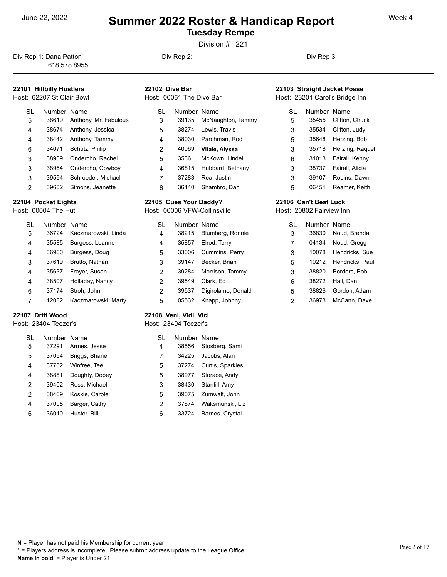**Tuesday Rempe** 

Division # 221

Div Rep 1: Dana Patton **Div Rep 2:** Div Rep 2: Div Rep 3: 618 578 8955

### **22101 Hillbilly Hustlers**

#### Host: 62207 St Clair Bowl

| SL             | Number Name |                       | SL | Nur |
|----------------|-------------|-----------------------|----|-----|
| 5              | 38619       | Anthony, Mr. Fabulous | 3  | 39  |
| $\overline{4}$ | 38674       | Anthony, Jessica      | 5  | 38  |
| 4              |             | 38442 Anthony, Tammy  | 4  | 38  |
| 6              | 34071       | Schutz, Philip        | 2  | 40  |
| 3              | 38909       | Ondercho, Rachel      | 5  | 35  |
| 3              | 38964       | Ondercho, Cowboy      | 4  | 36  |
| 3              | 39594       | Schroeder, Michael    | 7  | 37  |
| 2              | 39602       | Simons, Jeanette      | 6  | 36  |

#### **22104 Pocket Eights**

Host: 00004 The Hut

| SL | Number Name |                     | SL | Num |
|----|-------------|---------------------|----|-----|
| 5  | 36724       | Kaczmarowski, Linda | 4  | 382 |
| 4  | 35585       | Burgess, Leanne     | 4  | 358 |
| 4  | 36960       | Burgess, Doug       | 5  | 330 |
| 3  | 37619       | Brutto, Nathan      | 3  | 391 |
| 4  | 35637       | Frayer, Susan       | 2  | 392 |
| 4  | 38507       | Holladay, Nancy     | 2  | 395 |
| 6  | 37174       | Stroh, John         | 2  | 395 |
|    | 12082       | Kaczmarowski, Marty | 5  | 055 |

#### **22107 Drift Wood**

#### Host: 23404 Teezer's

| <u>SL</u> | Number Name |                | SL | Number Name |                  |
|-----------|-------------|----------------|----|-------------|------------------|
| 5         | 37291       | Armes, Jesse   | 4  | 38556       | Stosberg, Sami   |
| 5         | 37054       | Briggs, Shane  | 7  | 34225       | Jacobs, Alan     |
| 4         | 37702       | Winfree, Tee   | 5  | 37274       | Curtis, Sparkles |
| 4         | 38881       | Doughty, Dopey | 5  | 38977       | Storace, Andy    |
| 2         | 39402       | Ross, Michael  | 3  | 38430       | Stanfill, Amy    |
| 2         | 38469       | Koskie, Carole | 5  | 39075       | Zumwalt, John    |
| 4         | 37005       | Barger, Cathy  | 2  | 37874       | Waksmunski, Liz  |
| 6         | 36010       | Huster, Bill   | 6  | 33724       | Barnes, Crystal  |

Host: 00061 The Dive Bar

**22105 Cues Your Daddy?** Host: 00006 VFW-Collinsville SL Number Name

**22108 Veni, Vidi, Vici** Host: 23404 Teezer's

SL Number Name

 39135 McNaughton, Tammy 38274 Lewis, Travis 38030 Parchman, Rod 40069 **Vitale, Alyssa** 35361 McKown, Lindell 36815 Hubbard, Bethany 37283 Rea, Justin

36140 Shambro, Dan

 38215 Blumberg, Ronnie 35857 Elrod, Terry 33006 Cummins, Perry 39147 Becker, Brian 39284 Morrison, Tammy 39549 Clark, Ed

 39537 Digirolamo, Donald 05532 Knapp, Johnny

**22102 Dive Bar**

#### **22103 Straight Jacket Posse** Host: 23201 Carol's Bridge Inn

| SL | Number Name |                 |
|----|-------------|-----------------|
| 5  | 35455       | Clifton, Chuck  |
| 3  | 35534       | Clifton, Judy   |
| 5  | 35648       | Herzing, Bob    |
| 3  | 35718       | Herzing, Raguel |
| 6  | 31013       | Fairall, Kenny  |
| 3  | 38737       | Fairall, Alicia |
| 3  | 39107       | Robins. Dawn    |
| 5  | 06451       | Reamer, Keith   |

#### **22106 Can't Beat Luck**

Host: 20802 Fairview Inn

| <u>SL</u> | Number Name |                 |
|-----------|-------------|-----------------|
| 3         | 36830       | Noud, Brenda    |
| 7         | 04134       | Noud, Gregg     |
| 3         | 10078       | Hendricks, Sue  |
| 5         | 10212       | Hendricks, Paul |
| 3         | 38820       | Borders, Bob    |
| 6         | 38272       | Hall, Dan       |
| 5         | 38826       | Gordon, Adam    |
| 2         | 36973       | McCann, Dave    |

#### **N** = Player has not paid his Membership for current year. \* = Players address is incomplete. Please submit address update to the League Office. **Name in bold** = Player is Under 21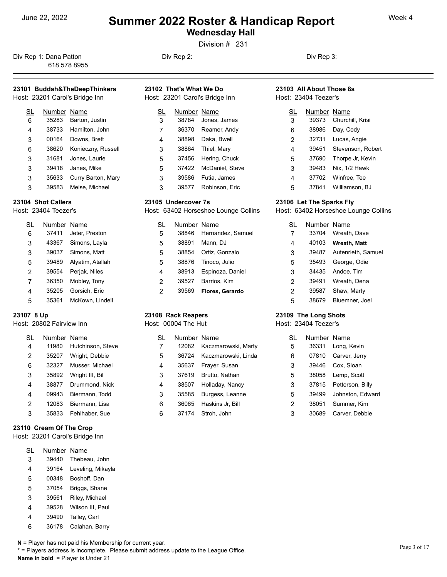**Wednesday Hall** 

Division # 231

Div Rep 1: Dana Patton **Div Rep 2:** Div Rep 2: Div Rep 3: 618 578 8955

### **23101 Buddah&TheDeepThinkers**

Host: 23201 Carol's Bridge Inn

| SL | Number Name |                     | SL |  |
|----|-------------|---------------------|----|--|
| 6  | 35283       | Barton, Justin      | 3  |  |
| 4  | 38733       | Hamilton, John      | 7  |  |
| 3  | 00164       | Downs, Brett        | 4  |  |
| 6  | 38620       | Konieczny, Russell  | 3  |  |
| 3  |             | 31681 Jones, Laurie | 5  |  |
| 3  |             | 39418 Janes, Mike   | 5  |  |
| 3  | 35633       | Curry Barton, Mary  | 3  |  |
| 3  | 39583       | Meise, Michael      | 3  |  |

#### **23104 Shot Callers**

Host: 23404 Teezer's

| SL | Number Name |                  | SL |
|----|-------------|------------------|----|
| 6  | 37411       | Jeter, Preston   | 5  |
| 3  | 43367       | Simons, Layla    | 5  |
| 3  | 39037       | Simons, Matt     | 5  |
| 5  | 39489       | Alyatim, Atallah | 5  |
| 2  | 39554       | Perjak, Niles    | 4  |
| 7  | 36350       | Mobley, Tony     | 2  |
| 4  | 35205       | Gorsich, Eric    | 2  |
| 5  | 35361       | McKown, Lindell  |    |

#### **23107 8 Up**

Host: 20802 Fairview Inn

| SL             | Number Name |                   |   | N١ |
|----------------|-------------|-------------------|---|----|
| $\overline{4}$ | 11980       | Hutchinson, Steve |   | 1  |
| $\overline{2}$ | 35207       | Wright, Debbie    | 5 | З  |
| 6              | 32327       | Musser, Michael   | 4 | З  |
| 3              | 35892       | Wright III, Bil   | 3 | З  |
| 4              | 38877       | Drummond, Nick    | 4 | З  |
| 4              | 09943       | Biermann, Todd    | 3 | З  |
| $\overline{2}$ | 12083       | Biermann, Lisa    | 6 | З  |
| 3              | 35833       | Fehlhaber, Sue    | 6 | З  |

#### **23110 Cream Of The Crop**

Host: 23201 Carol's Bridge Inn

| <u>SL</u> | Number Name |                   |
|-----------|-------------|-------------------|
| 3         | 39440       | Thebeau, John     |
| 4         | 39164       | Leveling, Mikayla |
| 5         | 00348       | Boshoff, Dan      |
| 5         | 37054       | Briggs, Shane     |
| 3         | 39561       | Riley, Michael    |
| 4         | 39528       | Wilson III, Paul  |
| 4         | 39490       | Talley, Carl      |
| 6         | 36178       | Calahan, Barry    |

|  | N = Player has not paid his Membership for current year. |
|--|----------------------------------------------------------|
|--|----------------------------------------------------------|

\* = Players address is incomplete. Please submit address update to the League Office. **Name in bold** = Player is Under 21

| 23102 That's What We Do        | 23103 All About Those 8s |
|--------------------------------|--------------------------|
| Host: 23201 Carol's Bridge Inn | Host: 23404 Teezer's     |

| <u>SL</u> | Number Name |                 | SL |
|-----------|-------------|-----------------|----|
| 3         | 38784       | Jones, James    | 3  |
| 7         | 36370       | Reamer, Andy    | 6  |
| 4         | 38898       | Daka, Bwell     | 2  |
| 3         | 38864       | Thiel, Mary     | 4  |
| 5         | 37456       | Hering, Chuck   | 5  |
| 5         | 37422       | McDaniel, Steve | 3  |
| 3         | 39586       | Futia, James    | 4  |
| 3         | 39577       | Robinson, Eric  | 5  |

#### **23105 Undercover 7s**

Host: 63402 Horseshoe Lounge Collins

| SL | Number Name |                   | SL | Numbe |
|----|-------------|-------------------|----|-------|
| 5  | 38846       | Hernandez, Samuel |    | 33704 |
| 5  | 38891       | Mann. DJ          | 4  | 40103 |
| 5  | 38854       | Ortiz, Gonzalo    | 3  | 39487 |
| 5  | 38876       | Tinoco, Julio     | 5  | 35493 |
| 4  | 38913       | Espinoza, Daniel  | 3  | 34435 |
| 2  | 39527       | Barrios, Kim      | 2  | 39491 |
| 2  | 39569       | Flores, Gerardo   | 2  | 39587 |

## **23108 Rack Reapers**

Host: 00004 The Hut

| SL | Number Name |                     |   | Num |
|----|-------------|---------------------|---|-----|
| 7  | 12082       | Kaczmarowski, Marty | 5 | 363 |
| 5  | 36724       | Kaczmarowski, Linda | 6 | 078 |
| 4  | 35637       | Frayer, Susan       | 3 | 394 |
| 3  | 37619       | Brutto, Nathan      | 5 | 380 |
| 4  | 38507       | Holladay, Nancy     | 3 | 378 |
| 3  | 35585       | Burgess, Leanne     | 5 | 394 |
| 6  | 36065       | Haskins Jr, Bill    | 2 | 380 |
| 6  | 37174       | Stroh, John         | 3 | 306 |

# Host: 23404 Teezer's

| SL | Number Name |                         |
|----|-------------|-------------------------|
| 3  |             | 39373 Churchill, Krisi  |
| 6  | 38986       | Day, Cody               |
| 2  | 32731       | Lucas, Angie            |
| 4  |             | 39451 Stevenson, Robert |
| 5  | 37690       | Thorpe Jr, Kevin        |
| 3  | 39483       | Nix, 1/2 Hawk           |
| 4  |             | 37702 Winfree, Tee      |
| 5  | 37841       | Williamson, BJ          |

#### **23106 Let The Sparks Fly**

Host: 63402 Horseshoe Lounge Collins

| SL | Number Name |                    |
|----|-------------|--------------------|
| 7  | 33704       | Wreath, Dave       |
| 4  | 40103       | Wreath, Matt       |
| 3  | 39487       | Autenrieth, Samuel |
| 5  | 35493       | George, Odie       |
| 3  | 34435       | Andoe, Tim         |
| 2  | 39491       | Wreath, Dena       |
| 2  | 39587       | Shaw, Marty        |
| 5  | 38679       | Bluemner, Joel     |

#### **23109 The Long Shots**

Host: 23404 Teezer's

| <u>SL</u> | Number Name |                  |
|-----------|-------------|------------------|
| 5         | 36331       | Long, Kevin      |
| 6         | 07810       | Carver, Jerry    |
| 3         | 39446       | Cox, Sloan       |
| 5         | 38058       | Lemp, Scott      |
| 3         | 37815       | Petterson, Billy |
| 5         | 39499       | Johnston, Edward |
| 2         | 38051       | Summer, Kim      |
| 3         | 30689       | Carver, Debbie   |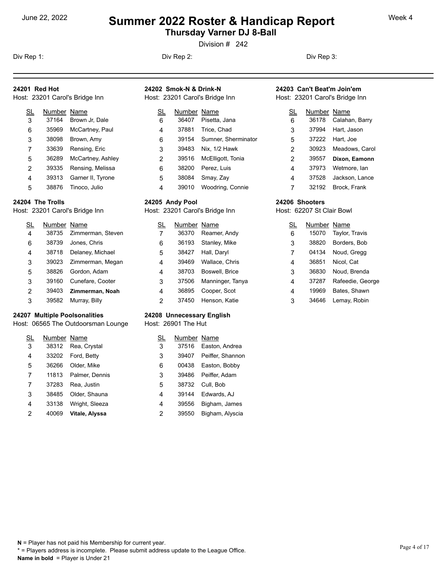# <sup>June 22, 2022</sup> **Summer 2022 Roster & Handicap Report** Week 4 **Thursday Varner DJ 8-Ball**

Division # 242

**24201 Red Hot**

**24202 Smok-N & Drink-N** Host: 23201 Carol's Bridge Inn

SL Number Name

36407 Pisetta, Jana 4 37881 Trice, Chad

 6 39154 Sumner, Sherminator 39483 Nix, 1/2 Hawk 39516 McElligott, Tonia Perez, Luis Smay, Zay 39010 Woodring, Connie

Div Rep 1: Div Rep 2: Div Rep 3:

#### **24203 Can't Beat'm Join'em** Host: 23201 Carol's Bridge Inn

| SL<br>6 | Number Name | 36178 Calahan, Barry |
|---------|-------------|----------------------|
| 3       |             | 37994 Hart, Jason    |
| 5       |             | 37222 Hart, Joe      |
| 2       | 30923       | Meadows, Carol       |
| 2       | 39557       | Dixon, Eamonn        |
| 4       | 37973       | Wetmore, lan         |
| 4       | 37528       | Jackson, Lance       |
|         | 32192       | Brock, Frank         |

#### **24206 Shooters**

Host: 62207 St Clair Bowl

| SL | Number Name |                  |
|----|-------------|------------------|
| 6  | 15070       | Taylor, Travis   |
| 3  | 38820       | Borders, Bob     |
| 7  | 04134       | Noud, Gregg      |
| 4  | 36851       | Nicol, Cat       |
| 3  | 36830       | Noud, Brenda     |
| 4  | 37287       | Rafeedie, George |
| 4  | 19969       | Bates, Shawn     |
| 3  | 34646       | Lemay, Robin     |

# 5 38876 Tinoco, Julio **24204 The Trolls**

Host: 23201 Carol's Bridge Inn

Host: 23201 Carol's Bridge Inn SL Number Name

> 6 35969 McCartney, Paul 3 38098 Brown, Amy

3 37164 Brown Jr, Dale

 7 33639 Rensing, Eric 5 36289 McCartney, Ashley

 2 39335 Rensing, Melissa 4 39313 Garner II, Tyrone

| SL | Number Name |                   | SL | Number |  |
|----|-------------|-------------------|----|--------|--|
| 4  | 38735       | Zimmerman, Steven |    | 36370  |  |
| 6  | 38739       | Jones, Chris      | 6  | 36193  |  |
| 4  | 38718       | Delaney, Michael  | 5  | 38427  |  |
| 3  | 39023       | Zimmerman, Megan  | 4  | 39469  |  |
| 5  | 38826       | Gordon, Adam      | 4  | 38703  |  |
| 3  | 39160       | Cunefare, Cooter  | 3  | 37506  |  |
| 2  | 39403       | Zimmerman, Noah   | 4  | 36895  |  |
| 3  | 39582       | Murray, Billy     | 2  | 37450  |  |

#### **24207 Multiple Poolsonalities**

Host: 06565 The Outdoorsman Lounge

| SL | Number Name |                | SL | N١ |
|----|-------------|----------------|----|----|
| 3  | 38312       | Rea, Crystal   | 3  | З  |
| 4  | 33202       | Ford, Betty    | 3  | З  |
| 5  | 36266       | Older, Mike    | 6  | C  |
| 7  | 11813       | Palmer, Dennis | 3  | З  |
| 7  | 37283       | Rea, Justin    | 5  | З  |
| 3  | 38485       | Older, Shauna  | 4  | З  |
| 4  | 33138       | Wright, Sleeza | 4  | З  |
| 2  | 40069       | Vitale, Alyssa | 2  | З  |

#### **24208 Unnecessary English**

Host: 26901 The Hut

**24205 Andy Pool**

Host: 23201 Carol's Bridge Inn SL Number Name 36370 Reamer, Andy 36193 Stanley, Mike 38427 Hall, Daryl 39469 Wallace, Chris 38703 Boswell, Brice 37506 Manninger, Tanya 36895 Cooper, Scot 37450 Henson, Katie

| SL | Number Name |                  |
|----|-------------|------------------|
| 3  | 37516       | Easton, Andrea   |
| 3  | 39407       | Peiffer, Shannon |
| 6  | 00438       | Easton, Bobby    |
| 3  | 39486       | Peiffer, Adam    |
| 5  | 38732       | Cull, Bob        |
| 4  | 39144       | Edwards, AJ      |
| 4  | 39556       | Bigham, James    |
| 2  | 39550       | Bigham, Alyscia  |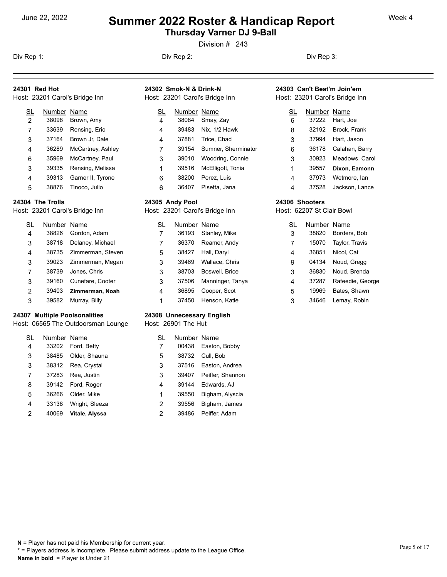# <sup>June 22, 2022</sup> **Summer 2022 Roster & Handicap Report** Week 4 **Thursday Varner DJ 9-Ball**

Division # 243

**24301 Red Hot**

**24302 Smok-N & Drink-N** Host: 23201 Carol's Bridge Inn

> SL Number Name 38084 Smay, Zay

> > 39483 Nix, 1/2 Hawk 37881 Trice, Chad

39010 Woodring, Connie

 38200 Perez, Luis 36407 Pisetta, Jana

39154 Sumner, Sherminator

McElligott, Tonia

Div Rep 1: Div Rep 2: Div Rep 3:

#### **24303 Can't Beat'm Join'em** Host: 23201 Carol's Bridge Inn

| SL | Number Name |                    |
|----|-------------|--------------------|
| 6  |             | 37222 Hart, Joe    |
| 8  |             | 32192 Brock, Frank |
| 3  | 37994       | Hart, Jason        |
| 6  | 36178       | Calahan, Barry     |
| 3  | 30923       | Meadows, Carol     |
| 1  | 39557       | Dixon, Eamonn      |
| 4  | 37973       | Wetmore, lan       |
| 4  | 37528       | Jackson, Lance     |

#### **24306 Shooters**

Host: 62207 St Clair Bowl

| SL | Number Name |                  |
|----|-------------|------------------|
| 3  | 38820       | Borders, Bob     |
| 7  | 15070       | Taylor, Travis   |
| 4  | 36851       | Nicol, Cat       |
| 9  | 04134       | Noud, Gregg      |
| 3  | 36830       | Noud, Brenda     |
| 4  | 37287       | Rafeedie, George |
| 5  | 19969       | Bates, Shawn     |
| 3  | 34646       | Lemay, Robin     |

## **24304 The Trolls**

Host: 23201 Carol's Bridge Inn

35969 McCartney, Paul

Host: 23201 Carol's Bridge Inn SL Number Name 38098 Brown, Amy

> 33639 Rensing, Eric 37164 Brown Jr, Dale 36289 McCartney, Ashley

> 39313 Garner II, Tyrone 38876 Tinoco, Julio

39335 Rensing, Melissa

| SL | Number Name |                   | SL | Number Name |                  | <u>sl</u> |
|----|-------------|-------------------|----|-------------|------------------|-----------|
| 4  | 38826       | Gordon, Adam      |    | 36193       | Stanley, Mike    | 3         |
| 3  | 38718       | Delaney, Michael  |    | 36370       | Reamer, Andy     |           |
| 4  | 38735       | Zimmerman, Steven | 5  | 38427       | Hall, Daryl      | 4         |
| 3  | 39023       | Zimmerman, Megan  | 3  | 39469       | Wallace, Chris   | 9         |
|    | 38739       | Jones, Chris      | 3  | 38703       | Boswell, Brice   | 3         |
| 3  | 39160       | Cunefare, Cooter  | 3  | 37506       | Manninger, Tanya | 4         |
| 2  | 39403       | Zimmerman, Noah   | 4  | 36895       | Cooper, Scot     | 5         |
| 3  | 39582       | Murray, Billy     |    | 37450       | Henson, Katie    | 3         |

#### **24307 Multiple Poolsonalities**

Host: 06565 The Outdoorsman Lounge

| <u>SL</u> | Number Name |                | SL | Num |
|-----------|-------------|----------------|----|-----|
| 4         | 33202       | Ford, Betty    |    | 004 |
| 3         | 38485       | Older, Shauna  | 5  | 387 |
| 3         | 38312       | Rea, Crystal   | 3  | 375 |
| 7         | 37283       | Rea, Justin    | 3  | 394 |
| 8         | 39142       | Ford, Roger    | 4  | 391 |
| 5         | 36266       | Older, Mike    | 1  | 395 |
| 4         | 33138       | Wright, Sleeza | 2  | 395 |
| 2         | 40069       | Vitale, Alyssa | 2  | 394 |

#### **24308 Unnecessary English**

Host: 26901 The Hut

**24305 Andy Pool**

Host: 23201 Carol's Bridge Inn SL Number Name

| SL | Number Name |                  |
|----|-------------|------------------|
| 7  | 00438       | Easton, Bobby    |
| 5  | 38732       | Cull, Bob        |
| 3  | 37516       | Easton, Andrea   |
| 3  | 39407       | Peiffer, Shannon |
| 4  | 39144       | Edwards, AJ      |
| 1  | 39550       | Bigham, Alyscia  |
| 2  | 39556       | Bigham, James    |
| 2  | 39486       | Peiffer, Adam    |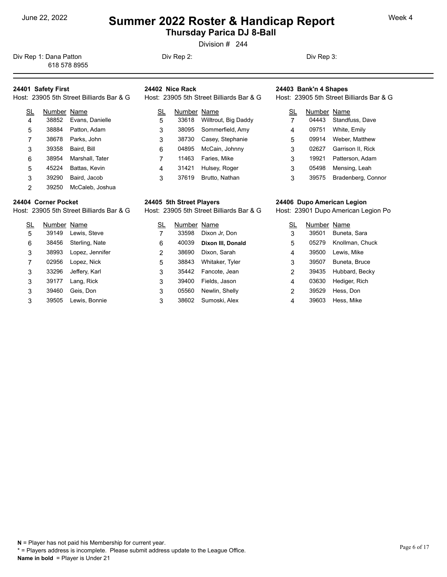# <sup>June 22, 2022</sup> **Summer 2022 Roster & Handicap Report** Week 4 **Thursday Parica DJ 8-Ball**

Division # 244

Div Rep 1: Dana Patton **Div Rep 2:** Div Rep 2: Div Rep 3: 618 578 8955

### **24401 Safety First**

| Host: 23905 5th Street Billiards Bar & G | Host: 23905 5th Street Billiards Bar & G | Host: 23905 5th Street Billia |
|------------------------------------------|------------------------------------------|-------------------------------|
|                                          |                                          |                               |

| SL             | Number Name |                 | SL | Number |
|----------------|-------------|-----------------|----|--------|
| $\overline{4}$ | 38852       | Evans, Danielle | 5  | 33618  |
| 5              | 38884       | Patton, Adam    | 3  | 38095  |
| 7              | 38678       | Parks, John     | 3  | 38730  |
| 3              | 39358       | Baird, Bill     | 6  | 04895  |
| 6              | 38954       | Marshall, Tater | 7  | 11463  |
| 5              | 45224       | Battas, Kevin   | 4  | 31421  |
| 3              | 39290       | Baird, Jacob    | 3  | 37619  |
| 2              | 39250       | McCaleb, Joshua |    |        |

#### **24404 Corner Pocket**

Host: 23905 5th Street Billiards Bar & G

| SL | Number Name |                 | SL |
|----|-------------|-----------------|----|
| 5  | 39149       | Lewis, Steve    |    |
| 6  | 38456       | Sterling, Nate  | 6  |
| 3  | 38993       | Lopez, Jennifer | 2  |
| 7  | 02956       | Lopez, Nick     | 5  |
| 3  | 33296       | Jeffery, Karl   | 3  |
| 3  | 39177       | Lang, Rick      | 3  |
| 3  | 39460       | Geis, Don       | 3  |
| 3  | 39505       | Lewis, Bonnie   | 3  |

# **24402 Nice Rack**

| SL | Number Name |                            | SL | N |
|----|-------------|----------------------------|----|---|
| 5  |             | 33618 Willtrout, Big Daddy |    |   |
| 3  |             | 38095 Sommerfield, Amy     | 4  |   |
| 3  | 38730       | Casey, Stephanie           | 5  |   |
| 6  | 04895       | McCain, Johnny             | 3  |   |
|    | 11463       | Faries, Mike               | 3  |   |
| 4  | 31421       | Hulsey, Roger              | 3  |   |
| 3  | 37619       | Brutto, Nathan             | 3  |   |

#### **24405 5th Street Players**

Host: 23905 5th Street Billiards Bar & G

| SL             | Number Name |                     |   | Νι |
|----------------|-------------|---------------------|---|----|
| 7              | 33598       | Dixon Jr, Don       | 3 | 3  |
| 6              | 40039       | Dixon III, Donald   | 5 | C  |
| $\overline{2}$ | 38690       | Dixon, Sarah        | 4 | 3  |
| 5              | 38843       | Whitaker, Tyler     | 3 | 3  |
| 3              |             | 35442 Fancote, Jean | 2 | 3  |
| 3              | 39400       | Fields, Jason       | 4 | C  |
| 3              | 05560       | Newlin, Shelly      | 2 | 3  |
| 3              | 38602       | Sumoski, Alex       | 4 | 3  |

# **24403 Bank'n 4 Shapes**

Host: 23905 5th Street Billiards Bar & G

| <u>SL</u> | Number Name |                    |
|-----------|-------------|--------------------|
| 7         | 04443       | Standfuss, Dave    |
| 4         | 09751       | White, Emily       |
| 5         | 09914       | Weber, Matthew     |
| 3         | 02627       | Garrison II, Rick  |
| 3         | 19921       | Patterson, Adam    |
| 3         | 05498       | Mensing, Leah      |
| 3         | 39575       | Bradenberg, Connor |

#### **24406 Dupo American Legion**

Host: 23901 Dupo American Legion Po

| SL | Number Name |                       |
|----|-------------|-----------------------|
| 3  | 39501       | Buneta, Sara          |
| 5  |             | 05279 Knollman, Chuck |
| 4  | 39500       | Lewis, Mike           |
| 3  | 39507       | Buneta, Bruce         |
| 2  | 39435       | Hubbard, Becky        |
| 4  | 03630       | Hediger, Rich         |
| 2  | 39529       | Hess, Don             |
| 4  | 39603       | Hess, Mike            |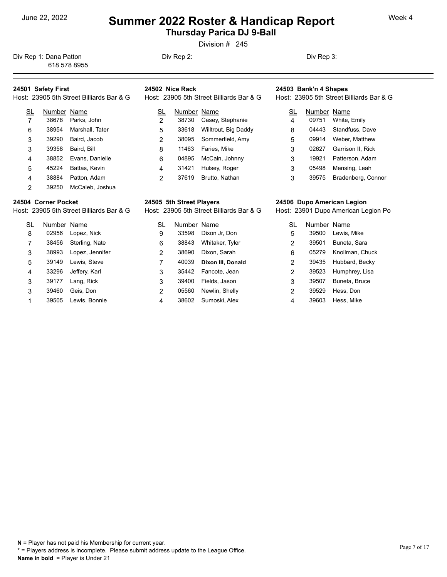# <sup>June 22, 2022</sup> **Summer 2022 Roster & Handicap Report** Week 4 **Thursday Parica DJ 9-Ball**

Division # 245

Div Rep 1: Dana Patton **Div Rep 2:** Div Rep 2: Div Rep 3: 618 578 8955

### **24501 Safety First**

| Host: 23905 5th Street Billiards Bar & G | Host: 23905 5th Street Billiards Bar & G | Host: 23905 5th Street Billia |
|------------------------------------------|------------------------------------------|-------------------------------|
|                                          |                                          |                               |

| SL | Number Name |                 | SL | Number |
|----|-------------|-----------------|----|--------|
| 7  | 38678       | Parks, John     | 2  | 38730  |
| 6  | 38954       | Marshall, Tater | 5  | 33618  |
| 3  | 39290       | Baird, Jacob    | 2  | 38095  |
| 3  | 39358       | Baird, Bill     | 8  | 11463  |
| 4  | 38852       | Evans, Danielle | 6  | 04895  |
| 5  | 45224       | Battas, Kevin   | 4  | 31421  |
| 4  | 38884       | Patton, Adam    | 2  | 37619  |
| 2  | 39250       | McCaleb, Joshua |    |        |

#### **24504 Corner Pocket**

Host: 23905 5th Street Billiards Bar & G

SL Number Name 02956 Lopez, Nick 38456 Sterling, Nate 38993 Lopez, Jennifer 39149 Lewis, Steve 33296 Jeffery, Karl 39177 Lang, Rick 39460 Geis, Don 39505 Lewis, Bonnie

# **24502 Nice Rack**

| SL             | Number Name |                      | <u>SL</u> | N |
|----------------|-------------|----------------------|-----------|---|
| $\overline{2}$ | 38730       | Casey, Stephanie     | 4         |   |
| 5              | 33618       | Willtrout, Big Daddy | 8         |   |
| 2              | 38095       | Sommerfield, Amy     | 5         |   |
| 8              | 11463       | Faries, Mike         | 3         |   |
| 6              | 04895       | McCain, Johnny       | 3         |   |
| $\overline{4}$ | 31421       | Hulsey, Roger        | 3         |   |
| 2              | 37619       | Brutto, Nathan       | 3         |   |

#### **24505 5th Street Players**

Host: 23905 5th Street Billiards Bar & G

| SL             | Number Name |                   | <b>SL</b> | <u>Νι</u> |
|----------------|-------------|-------------------|-----------|-----------|
| 9              | 33598       | Dixon Jr, Don     | 5         | 3         |
| 6              | 38843       | Whitaker, Tyler   | 2         | 3         |
| $\overline{2}$ | 38690       | Dixon, Sarah      | 6         | C         |
| 7              | 40039       | Dixon III, Donald | 2         | 3         |
| 3              | 35442       | Fancote, Jean     | 2         | 3         |
| 3              | 39400       | Fields, Jason     | 3         | 3         |
| $\overline{2}$ | 05560       | Newlin, Shelly    | 2         | 3         |
| 4              | 38602       | Sumoski, Alex     | 4         | 3         |

# **24503 Bank'n 4 Shapes**

Host: 23905 5th Street Billiards Bar & G

| SL | Number Name |                    |
|----|-------------|--------------------|
| 4  | 09751       | White, Emily       |
| 8  | 04443       | Standfuss, Dave    |
| 5  | 09914       | Weber, Matthew     |
| 3  | 02627       | Garrison II, Rick  |
| 3  | 19921       | Patterson, Adam    |
| 3  | 05498       | Mensing, Leah      |
| 3  | 39575       | Bradenberg, Connor |

#### **24506 Dupo American Legion**

Host: 23901 Dupo American Legion Po

| SL | Number Name |                       |
|----|-------------|-----------------------|
| 5  |             | 39500 Lewis, Mike     |
| 2  | 39501       | Buneta, Sara          |
| 6  |             | 05279 Knollman, Chuck |
| 2  | 39435       | Hubbard, Becky        |
| 2  | 39523       | Humphrey, Lisa        |
| 3  | 39507       | Buneta, Bruce         |
| 2  | 39529       | Hess, Don             |
| 4  | 39603       | Hess, Mike            |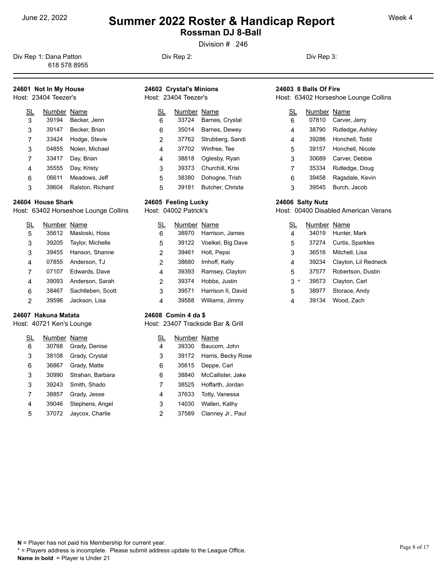**Rossman DJ 8-Ball** 

Division # 246

Div Rep 1: Dana Patton **Div Rep 2:** Div Rep 2: Div Rep 3: 618 578 8955

## **24601 Not In My House**

|  | Host: 23404 Teezer's |  |
|--|----------------------|--|
|  |                      |  |

| SL | Number Name |                  | SL |
|----|-------------|------------------|----|
| 3  | 39194       | Becker, Jenn     | 6  |
| 3  | 39147       | Becker, Brian    | 6  |
| 7  | 33424       | Hodge, Stevie    | 2  |
| 3  | 04855       | Nolen, Michael   | 4  |
| 7  | 33417       | Day, Brian       | 4  |
| 4  | 35555       | Day, Kristy      | 3  |
| 6  | 06611       | Meadows, Jeff    | 5  |
| 3  | 39604       | Ralston, Richard | 5  |

#### **24604 House Shark**

Host: 63402 Horseshoe Lounge Collins

| SL | Number Name |                      |   |  |
|----|-------------|----------------------|---|--|
| 5  |             | 35612 Masloski, Hoss | 6 |  |
| 3  | 39205       | Taylor, Michelle     | 5 |  |
| 3  |             | 39455 Hanson, Shanne | 2 |  |
| 4  |             | 07855 Anderson, TJ   | 2 |  |
| 7  |             | 07107 Edwards, Dave  | 4 |  |
| 4  | 39093       | Anderson, Sarah      | 2 |  |
| 6  | 38467       | Sachtleben, Scott    | 3 |  |
| 2  | 39596       | Jackson, Lisa        |   |  |

#### **24607 Hakuna Matata**

Host: 40721 Ken's Lounge

| SL | Number Name |                  |   |  |
|----|-------------|------------------|---|--|
| 6  | 30768       | Grady, Denise    | 4 |  |
| 3  | 38108       | Grady, Crystal   | 3 |  |
| 6  | 36867       | Grady, Matte     | 6 |  |
| 3  | 30990       | Strahan, Barbara | 6 |  |
| 3  | 39243       | Smith, Shado     | 7 |  |
| 7  | 38857       | Grady, Jesse     | 4 |  |
| 4  | 39046       | Stephens, Angel  | 3 |  |
| 5  | 37072       | Jaycox, Charlie  | 2 |  |

#### **24602 Crystal's Minions** Host: 23404 Teezer's

| <u>SL</u> | Number Name |                  | <u>SL</u> |
|-----------|-------------|------------------|-----------|
| 6         | 33724       | Barnes, Crystal  | 6         |
| 6         | 35014       | Barnes, Dewey    | 4         |
| 2         | 37762       | Strubberg, Sandi | 4         |
| 4         | 37702       | Winfree, Tee     | 5         |
| 4         | 38818       | Oglesby, Ryan    | 3         |
| 3         | 39373       | Churchill, Krisi | 7         |
| 5         | 38380       | Dohogne, Trish   | 6         |
| 5         | 39181       | Butcher, Christa | 3         |

#### **24605 Feeling Lucky**

Host: 04002 Patrick's

| SL             | Number Name |                         | SL          | N |
|----------------|-------------|-------------------------|-------------|---|
| 6              | 38970       | Harrison, James         | 4           |   |
| 5              |             | 39122 Voelkel, Big Dave | 5           |   |
| $\overline{2}$ | 39461       | Holt, Pepsi             | 3           |   |
| $\overline{2}$ | 38680       | Imhoff, Kelly           | 4           |   |
| $\overline{4}$ | 39393       | Ramsey, Clayton         | 5           |   |
| $\overline{2}$ | 39374       | Hobbs, Justin           | 3<br>$\ast$ |   |
| 3              | 39571       | Harrison II, David      | 5           |   |
| 4              | 39588       | Williams, Jimmy         | 4           |   |

#### **24608 Comin 4 da \$**

Host: 23407 Trackside Bar & Grill

| SL             | Number Name |                          |
|----------------|-------------|--------------------------|
| 4              | 39330       | Baucom, John             |
| 3              |             | 39172 Harris, Becky Rose |
| 6              | 35615       | Deppe, Carl              |
| 6              | 38840       | McCallister, Jake        |
| 7              | 38525       | Hoffarth, Jordan         |
| 4              | 37633       | Totty, Vanessa           |
| 3              | 14030       | Wallen, Kathy            |
| $\overline{2}$ | 37589       | Clanney Jr., Paul        |

### **24603 8 Balls Of Fire**

Host: 63402 Horseshoe Lounge Collins

| SL | Number Name |                  |
|----|-------------|------------------|
| 6  | 07810       | Carver, Jerry    |
| 4  | 38790       | Rutledge, Ashley |
| 4  | 39286       | Honchell. Todd   |
| 5  | 39157       | Honchell, Nicole |
| 3  | 30689       | Carver, Debbie   |
| 7  | 35334       | Rutledge, Doug   |
| 6  | 39458       | Ragsdale, Kevin  |
| 3  | 39545       | Burch, Jacob     |

#### **24606 Salty Nutz**

Host: 00400 Disabled American Verans

| SL     | Number Name |                      |
|--------|-------------|----------------------|
| 4      | 34019       | Hunter, Mark         |
| 5      | 37274       | Curtis, Sparkles     |
| 3      | 36516       | Mitchell, Lisa       |
| 4      | 39234       | Clayton, Lil Redneck |
| 5      | 37577       | Robertson, Dustin    |
| 3<br>* | 39573       | Clayton, Carl        |
| 5      | 38977       | Storace, Andy        |
| 4      | 39134       | Wood, Zach           |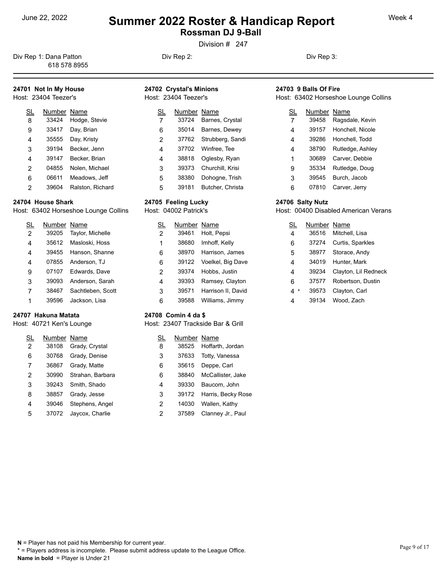# <sup>June 22, 2022</sup> **Summer 2022 Roster & Handicap Report** Week 4 **Rossman DJ 9-Ball**

Division # 247

Div Rep 1: Dana Patton **Div Rep 2:** Div Rep 2: Div Rep 3: 618 578 8955

## **24701 Not In My House**

Host: 23404 Teezer's

| SL             | Number Name |                  | SL |
|----------------|-------------|------------------|----|
| 8              | 33424       | Hodge, Stevie    | 7  |
| 9              | 33417       | Day, Brian       | 6  |
| 4              | 35555       | Day, Kristy      | 2  |
| 3              | 39194       | Becker, Jenn     | 4  |
| 4              | 39147       | Becker, Brian    | 4  |
| $\overline{2}$ | 04855       | Nolen, Michael   | 3  |
| 6              | 06611       | Meadows, Jeff    | 5  |
| 2              | 39604       | Ralston, Richard | 5  |

#### **24704 House Shark**

Host: 63402 Horseshoe Lounge Collins

| SL             | Number Name |                      |   |  |
|----------------|-------------|----------------------|---|--|
| $\overline{2}$ | 39205       | Taylor, Michelle     | 2 |  |
| 4              |             | 35612 Masloski, Hoss | 1 |  |
| 4              | 39455       | Hanson, Shanne       | 6 |  |
| 4              | 07855       | Anderson, TJ         | 6 |  |
| 9              | 07107       | Edwards, Dave        | 2 |  |
| 3              | 39093       | Anderson, Sarah      | 4 |  |
| 7              | 38467       | Sachtleben, Scott    | 3 |  |
| 1              | 39596       | Jackson, Lisa        | 6 |  |

#### **24707 Hakuna Matata**

Host: 40721 Ken's Lounge

| SL             | Number Name |                  |   |  |
|----------------|-------------|------------------|---|--|
| $\overline{2}$ | 38108       | Grady, Crystal   | 8 |  |
| 6              | 30768       | Grady, Denise    | 3 |  |
| 7              | 36867       | Grady, Matte     | 6 |  |
| 2              | 30990       | Strahan, Barbara | 6 |  |
| 3              | 39243       | Smith, Shado     | 4 |  |
| 8              | 38857       | Grady, Jesse     | 3 |  |
| 4              | 39046       | Stephens, Angel  | 2 |  |
| 5              | 37072       | Jaycox, Charlie  | 2 |  |

#### **24702 Crystal's Minions** Host: 23404 Teezer's

|   | Number Name |                        |   |
|---|-------------|------------------------|---|
| 7 | 33724       | Barnes, Crystal        | 7 |
| 6 | 35014       | Barnes, Dewey          | 4 |
| 2 |             | 37762 Strubberg, Sandi | 4 |
| 4 |             | 37702 Winfree, Tee     | 4 |
| 4 | 38818       | Oglesby, Ryan          | 1 |
| 3 | 39373       | Churchill, Krisi       | 9 |
| 5 | 38380       | Dohogne, Trish         | 3 |
| 5 | 39181       | Butcher, Christa       | 6 |

#### **24705 Feeling Lucky**

Host: 04002 Patrick's

| SL             | Number Name |                         | <u>SL</u> | N |
|----------------|-------------|-------------------------|-----------|---|
| 2              | 39461       | Holt, Pepsi             | 4         |   |
| 1              | 38680       | Imhoff, Kelly           | 6         |   |
| 6              | 38970       | Harrison, James         | 5         |   |
| 6              |             | 39122 Voelkel, Big Dave | 4         |   |
| $\overline{2}$ | 39374       | Hobbs, Justin           | 4         |   |
| 4              | 39393       | Ramsey, Clayton         | 6         |   |
| 3              | 39571       | Harrison II, David      |           |   |
| 6              | 39588       | Williams, Jimmy         | 4         |   |

#### **24708 Comin 4 da \$**

Host: 23407 Trackside Bar & Grill

| SL             | Number Name |                    |
|----------------|-------------|--------------------|
| 8              | 38525       | Hoffarth, Jordan   |
| 3              | 37633       | Totty, Vanessa     |
| 6              | 35615       | Deppe, Carl        |
| 6              | 38840       | McCallister, Jake  |
| 4              | 39330       | Baucom, John       |
| 3              | 39172       | Harris, Becky Rose |
| $\overline{2}$ | 14030       | Wallen, Kathy      |
| $\overline{2}$ | 37589       | Clanney Jr., Paul  |

#### **24703 9 Balls Of Fire**

Host: 63402 Horseshoe Lounge Collins

|   | Number Name |                  |
|---|-------------|------------------|
| 7 | 39458       | Ragsdale, Kevin  |
| 4 | 39157       | Honchell, Nicole |
| 4 | 39286       | Honchell, Todd   |
| 4 | 38790       | Rutledge, Ashley |
| 1 | 30689       | Carver, Debbie   |
| 9 | 35334       | Rutledge, Doug   |
| 3 | 39545       | Burch, Jacob     |
| 6 | 07810       | Carver, Jerry    |

#### **24706 Salty Nutz**

Host: 00400 Disabled American Verans

| SL     | Number Name |                      |
|--------|-------------|----------------------|
| 4      | 36516       | Mitchell, Lisa       |
| 6      | 37274       | Curtis, Sparkles     |
| 5      | 38977       | Storace, Andy        |
| 4      | 34019       | Hunter, Mark         |
| 4      | 39234       | Clayton, Lil Redneck |
| 6      | 37577       | Robertson, Dustin    |
| 4<br>* | 39573       | Clayton, Carl        |
| 4      | 39134       | Wood, Zach           |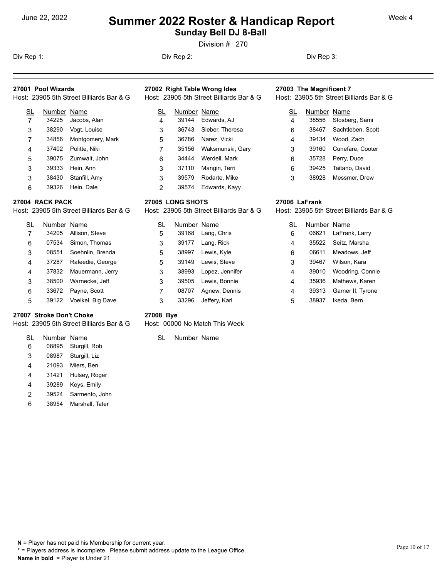# <sup>June 22, 2022</sup> **Summer 2022 Roster & Handicap Report** Week 4 **Sunday Bell DJ 8-Ball**

Division # 270

Div Rep 1: Div Rep 2: Div Rep 3:

#### **27001 Pool Wizards**

| SL | Number Name |                     | <b>SL</b> |  |
|----|-------------|---------------------|-----------|--|
| 7  | 34225       | Jacobs, Alan        | 4         |  |
| 3  | 38290       | Vogt, Louise        | 3         |  |
| 7  | 34856       | Montgomery, Mark    | 5         |  |
| 4  | 37402       | Politte, Niki       | 7         |  |
| 5  |             | 39075 Zumwalt, John | 6         |  |
| 3  | 39333       | Hein, Ann           | 3         |  |
| 3  | 38430       | Stanfill, Amy       | 3         |  |
| 6  | 39326       | Hein, Dale          | 2         |  |

#### **27004 RACK PACK**

Host: 23905 5th Street Billiards Bar & G

| SL | Number Name |                         | SL | Ν                    |
|----|-------------|-------------------------|----|----------------------|
| 7  | 34205       | Allison, Steve          | 5  | $\ddot{\cdot}$       |
| 6  | 07534       | Simon, Thomas           | 3  | $\ddot{\cdot}$       |
| 3  | 08551       | Soehnlin, Brenda        | 5  | $\ddot{\cdot}$       |
| 4  | 37287       | Rafeedie, George        | 5  | $\ddot{\cdot}$       |
| 4  | 37832       | Mauermann, Jerry        | 3  | $\ddot{\phantom{0}}$ |
| 3  | 38500       | Warnecke, Jeff          | 3  | ຸ                    |
| 6  | 33672       | Payne, Scott            | 7  |                      |
| 5  |             | 39122 Voelkel, Big Dave | 3  |                      |

#### **27007 Stroke Don't Choke**

Host: 23905 5th Street Billiards Bar & G

| SL | Number Name |                     |  |
|----|-------------|---------------------|--|
| 6  | 08895       | Sturgill, Rob       |  |
| 3  | 08987       | Sturgill, Liz       |  |
| 4  | 21093       | Miers, Ben          |  |
| 4  |             | 31421 Hulsey, Roger |  |
| 4  | 39289       | Keys, Emily         |  |
| 2  | 39524       | Sarmento, John      |  |

#### 38954 Marshall, Tater

# **27002 Right Table Wrong Idea**

| SL             | Number Name |                  | SL |  |
|----------------|-------------|------------------|----|--|
| $\overline{4}$ | 39144       | Edwards, AJ      | 4  |  |
| 3              | 36743       | Sieber, Theresa  | 6  |  |
| 5              | 36786       | Narez, Vicki     | 4  |  |
| 7              | 35156       | Waksmunski, Gary | 3  |  |
| 6              | 34444       | Werdell, Mark    | 6  |  |
| 3              | 37110       | Mangin, Terri    | 6  |  |
| 3              | 39579       | Rodarte, Mike    | 3  |  |
| 2              | 39574       | Edwards, Kayy    |    |  |

#### **27005 LONG SHOTS**

Host: 23905 5th Street Billiards Bar & G

| SL             | Number Name |                 | SL |
|----------------|-------------|-----------------|----|
| 5              | 39168       | Lang, Chris     | 6  |
| 3              | 39177       | Lang, Rick      | 4  |
| 5              | 38997       | Lewis, Kyle     | 6  |
| 5              | 39149       | Lewis, Steve    | 3  |
| 3              | 38993       | Lopez, Jennifer | 4  |
| 3              | 39505       | Lewis, Bonnie   | 4  |
| $\overline{7}$ | 08707       | Agnew, Dennis   | 4  |
| 3              | 33296       | Jeffery, Karl   | 5  |

#### **27003 The Magnificent 7**

Host: 23905 5th Street Billiards Bar & G

| SL | Number Name |                         |
|----|-------------|-------------------------|
| 4  | 38556       | Stosberg, Sami          |
| 6  |             | 38467 Sachtleben, Scott |
| 4  | 39134       | Wood, Zach              |
| 3  | 39160       | Cunefare, Cooter        |
| 6  | 35728       | Perry, Duce             |
| 6  | 39425       | Taitano, David          |
| 3  | 38928       | Messmer, Drew           |

#### **27006 LaFrank**

Host: 23905 5th Street Billiards Bar & G

| SL | Number Name |                   |
|----|-------------|-------------------|
| 6  | 06621       | LaFrank, Larry    |
| 4  | 35522       | Seitz, Marsha     |
| 6  | 06611       | Meadows, Jeff     |
| 3  | 39467       | Wilson, Kara      |
| 4  | 39010       | Woodring, Connie  |
| 4  | 35936       | Mathews, Karen    |
| 4  | 39313       | Garner II, Tyrone |
| 5  | 38937       | Ikeda, Bern       |

#### **27008 Bye**

Host: 00000 No Match This Week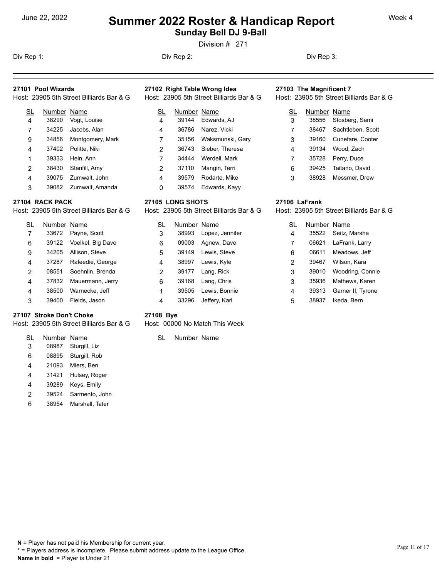# <sup>June 22, 2022</sup> **Summer 2022 Roster & Handicap Report** Week 4 **Sunday Bell DJ 9-Ball**

Division # 271

Div Rep 1: Div Rep 2: Div Rep 3:

### **27101 Pool Wizards**

| Host: 23905 5th Street Billia<br>Host: 23905 5th Street Billiards Bar & G<br>Host: 23905 5th Street Billiards Bar & G |
|-----------------------------------------------------------------------------------------------------------------------|
|-----------------------------------------------------------------------------------------------------------------------|

| SL             | Number Name |                     |   |
|----------------|-------------|---------------------|---|
| $\overline{4}$ | 38290       | Vogt, Louise        | 4 |
| 7              | 34225       | Jacobs, Alan        | 4 |
| 9              | 34856       | Montgomery, Mark    | 7 |
|                |             | 37402 Politte, Niki | 2 |
| 1              | 39333       | Hein, Ann           |   |
| 2              | 38430       | Stanfill, Amy       | 2 |
|                |             | 39075 Zumwalt, John |   |
|                |             |                     |   |

39082 Zumwalt, Amanda

#### **27104 RACK PACK**

Host: 23905 5th Street Billiards Bar & G

SL Number Name 33672 Payne, Scott 39122 Voelkel, Big Dave 34205 Allison, Steve 37287 Rafeedie, George 08551 Soehnlin, Brenda 37832 Mauermann, Jerry 38500 Warnecke, Jeff 39400 Fields, Jason

#### **27107 Stroke Don't Choke**

Host: 23905 5th Street Billiards Bar & G

| SL | Number Name |                     |  |
|----|-------------|---------------------|--|
| 3  | 08987       | Sturgill, Liz       |  |
| 6  |             | 08895 Sturgill, Rob |  |
| 4  | 21093       | Miers, Ben          |  |
| 4  |             | 31421 Hulsey, Roger |  |
| 4  | 39289       | Keys, Emily         |  |
| 2  | 39524       | Sarmento, John      |  |

38954 Marshall, Tater

# **27102 Right Table Wrong Idea**

| SL             | Number Name |                  | <u>SL</u> |  |
|----------------|-------------|------------------|-----------|--|
| $\overline{4}$ | 39144       | Edwards, AJ      | 3         |  |
| 4              | 36786       | Narez, Vicki     | 7         |  |
| 7              | 35156       | Waksmunski, Gary | 3         |  |
| 2              | 36743       | Sieber, Theresa  | 4         |  |
| 7              | 34444       | Werdell, Mark    | 7         |  |
| $\overline{2}$ | 37110       | Mangin, Terri    | 6         |  |
| 4              | 39579       | Rodarte, Mike    | 3         |  |
| 0              | 39574       | Edwards, Kayy    |           |  |

#### **27105 LONG SHOTS**

Host: 23905 5th Street Billiards Bar & G

| SL             | Number Name |                 | <u>SL</u> |
|----------------|-------------|-----------------|-----------|
| 3              | 38993       | Lopez, Jennifer | 4         |
| 6              | 09003       | Agnew, Dave     | 7         |
| 5              | 39149       | Lewis, Steve    | 6         |
| 4              | 38997       | Lewis, Kyle     | 2         |
| $\overline{2}$ | 39177       | Lang, Rick      | 3         |
| 6              | 39168       | Lang, Chris     | 3         |
| 1              | 39505       | Lewis, Bonnie   | 4         |
| 4              | 33296       | Jeffery, Karl   | 5         |

#### **27103 The Magnificent 7**

Host: 23905 5th Street Billiards Bar & G

| SL | Number Name |                         |
|----|-------------|-------------------------|
| 3  | 38556       | Stosberg, Sami          |
| 7  |             | 38467 Sachtleben, Scott |
| 3  | 39160       | Cunefare, Cooter        |
| 4  | 39134       | Wood, Zach              |
| 7  | 35728       | Perry, Duce             |
| 6  | 39425       | Taitano, David          |
| 3  | 38928       | Messmer, Drew           |

#### **27106 LaFrank**

Host: 23905 5th Street Billiards Bar & G

| SL | Number Name |                   |
|----|-------------|-------------------|
| 4  | 35522       | Seitz, Marsha     |
| 7  | 06621       | LaFrank, Larry    |
| 6  | 06611       | Meadows, Jeff     |
| 2  | 39467       | Wilson, Kara      |
| 3  | 39010       | Woodring, Connie  |
| 3  | 35936       | Mathews, Karen    |
| 4  | 39313       | Garner II, Tyrone |
| 5  | 38937       | Ikeda, Bern       |

### **27108 Bye**

Host: 00000 No Match This Week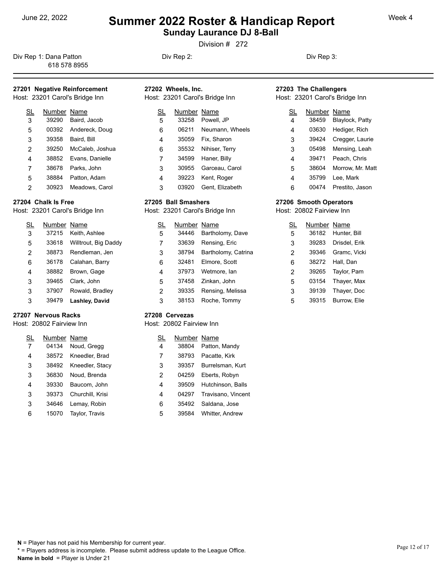**Sunday Laurance DJ 8-Ball** 

Division # 272

Div Rep 1: Dana Patton **Div Rep 2:** Div Rep 2: Div Rep 3: 618 578 8955

## **27201 Negative Reinforcement**

Host: 23201 Carol's Bridge Inn

| SL | Number Name |                 | SL | Number |
|----|-------------|-----------------|----|--------|
| 3  | 39290       | Baird, Jacob    | 5  | 33258  |
| 5  | 00392       | Andereck, Doug  | 6  | 06211  |
| 3  | 39358       | Baird, Bill     | 4  | 35059  |
| 2  | 39250       | McCaleb, Joshua | 6  | 35532  |
| 4  | 38852       | Evans, Danielle | 7  | 34599  |
| 7  | 38678       | Parks, John     | 3  | 30955  |
| 5  | 38884       | Patton, Adam    | 4  | 39223  |
| 2  | 30923       | Meadows, Carol  | 3  | 03920  |

#### **27204 Chalk Is Free**

Host: 23201 Carol's Bridge Inn

| S <sub>L</sub> | Number Name |                      | SL | Ν |
|----------------|-------------|----------------------|----|---|
| 3              | 37215       | Keith, Ashlee        | 5  |   |
| 5              | 33618       | Willtrout, Big Daddy | 7  |   |
| 2              | 38873       | Rendleman, Jen       | 3  |   |
| 6              | 36178       | Calahan, Barry       | 6  |   |
| 4              | 38882       | Brown, Gage          | 4  |   |
| 3              | 39465       | Clark, John          | 5  |   |
| 3              | 37907       | Rowald, Bradley      | 2  |   |
| 3              | 39479       | Lashley, David       | 3  |   |

#### **27207 Nervous Racks**

#### Host: 20802 Fairview Inn

| SL | Number Name |                  | SL |
|----|-------------|------------------|----|
| 7  | 04134       | Noud, Gregg      | 4  |
| 4  | 38572       | Kneedler, Brad   | 7  |
| 3  | 38492       | Kneedler, Stacy  | 3  |
| 3  | 36830       | Noud, Brenda     | 2  |
| 4  | 39330       | Baucom, John     | 4  |
| 3  | 39373       | Churchill, Krisi | 4  |
| 3  | 34646       | Lemay, Robin     | 6  |
| 6  | 15070       | Taylor, Travis   | 5  |

| 27202 Wheels. Inc.             | 27203 Th  |
|--------------------------------|-----------|
| Host: 23201 Carol's Bridge Inn | Host: 232 |
| SL Number Name                 | SL        |

| 5 | 33258 | Powell. JP      |   |
|---|-------|-----------------|---|
| 6 | 06211 | Neumann, Wheels | 4 |
| 4 | 35059 | Fix, Sharon     | 3 |
| 6 | 35532 | Nihiser, Terry  | 3 |
|   | 34599 | Haner, Billy    | 4 |
| 3 | 30955 | Garceau, Carol  | 5 |
| 4 | 39223 | Kent, Roger     | 4 |
| 3 | 03920 | Gent, Elizabeth | 6 |

#### **27205 Ball Smashers**

Host: 23201 Carol's Bridge Inn

| SL             | Number Name |                     | SL | Nuı |
|----------------|-------------|---------------------|----|-----|
| 5              | 34446       | Bartholomy, Dave    | 5  | 36  |
| $\overline{7}$ | 33639       | Rensing, Eric       | 3  | 39  |
| 3              | 38794       | Bartholomy, Catrina | 2  | 39  |
| 6              | 32481       | Elmore, Scott       | 6  | 38  |
| 4              | 37973       | Wetmore, lan        | 2  | 39  |
| 5              | 37458       | Zinkan, John        | 5  | 03  |
| 2              | 39335       | Rensing, Melissa    | 3  | 39  |
| 3              | 38153       | Roche, Tommy        | 5  | 39  |

#### **27208 Cervezas**

#### Host: 20802 Fairview Inn

| SL             | Number Name |                    |
|----------------|-------------|--------------------|
| $\overline{4}$ | 38804       | Patton, Mandy      |
| 7              | 38793       | Pacatte, Kirk      |
| 3              | 39357       | Burrelsman, Kurt   |
| $\overline{2}$ | 04259       | Eberts, Robyn      |
| 4              | 39509       | Hutchinson, Balls  |
| 4              | 04297       | Travisano, Vincent |
| 6              | 35492       | Saldana, Jose      |
| 5              | 39584       | Whitter, Andrew    |

# 27203 The Challengers<br>Host: 23201 Carol's Bridge Inn

|  | Host: 23201 Carol's Bridge Inn |  |  |
|--|--------------------------------|--|--|
|  |                                |  |  |

| SL | Number Name |                  |
|----|-------------|------------------|
| 4  | 38459       | Blaylock, Patty  |
| 4  | 03630       | Hediger, Rich    |
| 3  | 39424       | Cregger, Laurie  |
| 3  | 05498       | Mensing, Leah    |
| 4  | 39471       | Peach. Chris     |
| 5  | 38604       | Morrow, Mr. Matt |
| 4  | 35799       | Lee, Mark        |
| 6  | 00474       | Prestito, Jason  |

#### **27206 Smooth Operators**

Host: 20802 Fairview Inn

| SL | Number Name |               |
|----|-------------|---------------|
| 5  | 36182       | Hunter, Bill  |
| 3  | 39283       | Drisdel, Erik |
| 2  | 39346       | Gramc, Vicki  |
| 6  | 38272       | Hall, Dan     |
| 2  | 39265       | Taylor, Pam   |
| 5  | 03154       | Thayer, Max   |
| 3  | 39139       | Thayer, Doc   |
| 5  | 39315       | Burrow, Elie  |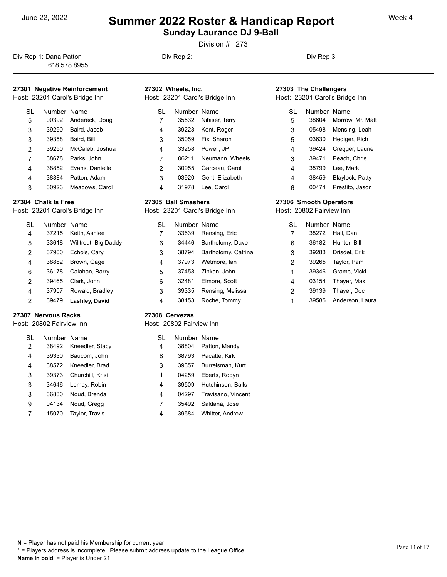# <sup>June 22, 2022</sup> **Summer 2022 Roster & Handicap Report** Week 4 **Sunday Laurance DJ 9-Ball**

Division # 273

Div Rep 1: Dana Patton **Div Rep 2:** Div Rep 2: Div Rep 3: 618 578 8955

### **27301 Negative Reinforcement**

Host: 23201 Carol's Bridge Inn

| SL | Number Name |                 | SL | Number |
|----|-------------|-----------------|----|--------|
| 5  | 00392       | Andereck, Doug  |    | 35532  |
| 3  | 39290       | Baird, Jacob    | 4  | 39223  |
| 3  | 39358       | Baird, Bill     | 3  | 35059  |
| 2  | 39250       | McCaleb, Joshua | 4  | 33258  |
| 7  | 38678       | Parks, John     | 7  | 06211  |
| 4  | 38852       | Evans, Danielle | 2  | 30955  |
| 4  | 38884       | Patton, Adam    | 3  | 03920  |
| 3  | 30923       | Meadows, Carol  | 4  | 31978  |

#### **27304 Chalk Is Free**

Host: 23201 Carol's Bridge Inn

| $\underline{\text{SL}}$ | Number Name |                      | SL | Ν |
|-------------------------|-------------|----------------------|----|---|
| $\overline{4}$          | 37215       | Keith, Ashlee        | 7  |   |
| 5                       | 33618       | Willtrout, Big Daddy | 6  |   |
| 2                       | 37900       | Echols, Cary         | 3  |   |
| 4                       | 38882       | Brown, Gage          | 4  |   |
| 6                       | 36178       | Calahan, Barry       | 5  |   |
| 2                       | 39465       | Clark, John          | 6  |   |
| 4                       | 37907       | Rowald, Bradley      | 3  |   |
| 2                       | 39479       | Lashley, David       | 4  |   |

#### **27307 Nervous Racks**

#### Host: 20802 Fairview Inn

| SL             | Number Name |                        | SL |
|----------------|-------------|------------------------|----|
| $\overline{2}$ | 38492       | Kneedler, Stacy        | 4  |
| 4              | 39330       | Baucom, John           | 8  |
| 4              |             | 38572 Kneedler, Brad   | 3  |
| 3              |             | 39373 Churchill, Krisi | 1  |
| 3              | 34646       | Lemay, Robin           | 4  |
| 3              | 36830       | Noud, Brenda           | 4  |
| 9              | 04134       | Noud, Gregg            | 7  |
|                | 15070       | <b>Taylor, Travis</b>  | 4  |

| 27302 Wheels, Inc.<br>Host: 23201 Carol's Bridge Inn |             |                 |    | 27303 The Challengers<br>Host: 23201 Carol's Bridge Inn |             |                        |
|------------------------------------------------------|-------------|-----------------|----|---------------------------------------------------------|-------------|------------------------|
| <u>sl</u>                                            | Number Name |                 | SL |                                                         | Number Name |                        |
| 7                                                    | 35532       | Nihiser, Terry  | 5  |                                                         | 38604       | Morrow, Mr. Matt       |
| 4                                                    | 39223       | Kent, Roger     | 3  |                                                         | 05498       | Mensing, Leah          |
| 3                                                    | 35059       | Fix. Sharon     | 5  |                                                         | 03630       | Hediger, Rich          |
| 4                                                    | 33258       | Powell, JP      | 4  |                                                         | 39424       | Cregger, Laurie        |
| 7                                                    | 06211       | Neumann, Wheels | 3  |                                                         | 39471       | Peach, Chris           |
| 2                                                    | 30955       | Garceau, Carol  | 4  |                                                         | 35799       | Lee. Mark              |
| 3                                                    | 03920       | Gent, Elizabeth | 4  |                                                         | 38459       | <b>Blaylock, Patty</b> |

## 31978 Lee, Carol **27305 Ball Smashers**

Host: 23201 Carol's Bridge Inn

| SL | Number Name |                     | <u>SL</u> | Nuı |
|----|-------------|---------------------|-----------|-----|
| 7  | 33639       | Rensing, Eric       |           | 38  |
| 6  | 34446       | Bartholomy, Dave    | 6         | 36  |
| 3  | 38794       | Bartholomy, Catrina | 3         | 39  |
| 4  | 37973       | Wetmore, lan        | 2         | 39  |
| 5  | 37458       | Zinkan, John        | 1         | 39  |
| 6  | 32481       | Elmore, Scott       | 4         | 03  |
| 3  | 39335       | Rensing, Melissa    | 2         | 39  |
| 4  | 38153       | Roche, Tommy        |           | 39  |

#### **27308 Cervezas**

#### Host: 20802 Fairview Inn

| SL             | Number Name |                        |
|----------------|-------------|------------------------|
| $\overline{4}$ | 38804       | Patton, Mandy          |
| 8              | 38793       | Pacatte, Kirk          |
| 3              | 39357       | Burrelsman, Kurt       |
| 1              | 04259       | Eberts, Robyn          |
| 4              | 39509       | Hutchinson, Balls      |
| 4              | 04297       | Travisano, Vincent     |
| 7              | 35492       | Saldana, Jose          |
| 4              | 39584       | <b>Whitter, Andrew</b> |

# **27303 The Challengers**

| SL | Number Name |                        |
|----|-------------|------------------------|
| 5  | 38604       | Morrow, Mr. Matt       |
| 3  | 05498       | Mensing, Leah          |
| 5  | 03630       | Hediger, Rich          |
| 4  | 39424       | Cregger, Laurie        |
| 3  | 39471       | Peach, Chris           |
| 4  | 35799       | Lee. Mark              |
| 4  | 38459       | <b>Blaylock, Patty</b> |
| 6  | 00474       | Prestito, Jason        |
|    |             |                        |

#### **27306 Smooth Operators**

Host: 20802 Fairview Inn

| <u>SL</u> | Number Name |                 |
|-----------|-------------|-----------------|
| 7         | 38272       | Hall, Dan       |
| 6         | 36182       | Hunter, Bill    |
| 3         | 39283       | Drisdel, Erik   |
| 2         | 39265       | Taylor, Pam     |
| 1         | 39346       | Gramc, Vicki    |
| 4         | 03154       | Thayer, Max     |
| 2         | 39139       | Thayer, Doc     |
| 1         | 39585       | Anderson, Laura |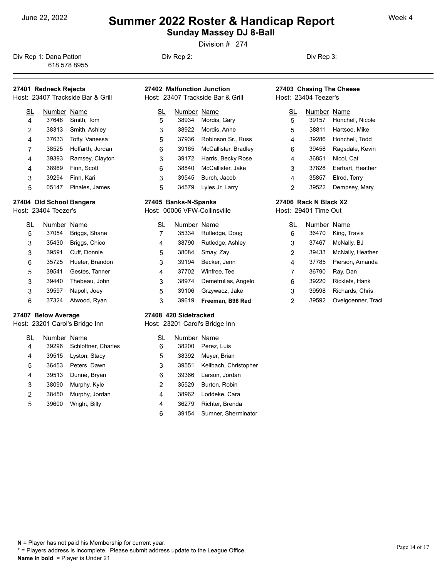**Sunday Massey DJ 8-Ball** 

Division # 274

Div Rep 1: Dana Patton **Div Rep 2:** Div Rep 2: Div Rep 3: 618 578 8955

## **27401 Redneck Rejects**

Host: 23407 Trackside Bar & Grill

| SL             | Number Name |                  | SL | Numb  |
|----------------|-------------|------------------|----|-------|
| $\overline{4}$ | 37648       | Smith, Tom       | 5  | 38934 |
| $\overline{2}$ | 38313       | Smith, Ashley    | 3  | 38922 |
| 4              | 37633       | Totty, Vanessa   | 5  | 37936 |
| 7              | 38525       | Hoffarth, Jordan | 6  | 39165 |
| 4              | 39393       | Ramsey, Clayton  | 3  | 39172 |
| 4              | 38969       | Finn, Scott      | 6  | 38840 |
| 3              | 39294       | Finn, Kari       | 3  | 39545 |
| 5              | 05147       | Pinales, James   | 5  | 34579 |

#### **27404 Old School Bangers**

Host: 23404 Teezer's

| $\underline{\text{SL}}$ | Number Name |                 | SL |  |
|-------------------------|-------------|-----------------|----|--|
| 5                       | 37054       | Briggs, Shane   | 7  |  |
| 3                       | 35430       | Briggs, Chico   | 4  |  |
| 3                       | 39591       | Cuff, Donnie    | 5  |  |
| 6                       | 35725       | Hueter, Brandon | 3  |  |
| 5                       | 39541       | Gestes, Tanner  | 4  |  |
| 3                       | 39440       | Thebeau, John   | 3  |  |
| 3                       | 39597       | Napoli, Joey    | 5  |  |
| 6                       | 37324       | Atwood, Ryan    | 3  |  |

#### **27407 Below Average**

Host: 23201 Carol's Bridge Inn

| SL | Number Name |                     |   |  |
|----|-------------|---------------------|---|--|
| 4  | 39296       | Schlottner, Charles | 6 |  |
| 4  | 39515       | Lyston, Stacy       | 5 |  |
| 5  | 36453       | Peters, Dawn        | 3 |  |
| 4  | 39513       | Dunne, Bryan        | 6 |  |
| 3  | 38090       | Murphy, Kyle        | 2 |  |
| 2  | 38450       | Murphy, Jordan      | 4 |  |
| 5  | 39600       | Wright, Billy       |   |  |
|    |             |                     |   |  |

| 27402 Malfunction Junction | 27403 Chasing The Cheese |
|----------------------------|--------------------------|
|                            |                          |

Host: 23407 Trackside Bar & Grill

| SL | Number Name |                          | SL | Nu |
|----|-------------|--------------------------|----|----|
| 5  | 38934       | Mordis, Gary             | 5  | 39 |
| 3  | 38922       | Mordis, Anne             | 5  | 38 |
| 5  | 37936       | Robinson Sr., Russ       | 4  | 39 |
| 6  | 39165       | McCallister, Bradley     | 6  | 39 |
| 3  |             | 39172 Harris, Becky Rose | 4  | 36 |
| 6  | 38840       | McCallister, Jake        | 3  | 37 |
| 3  | 39545       | Burch, Jacob             | 4  | 35 |
| 5  | 34579       | Lyles Jr, Larry          | 2  | 39 |

#### **27405 Banks-N-Spanks**

Host: 00006 VFW-Collinsville

| SL | Number Name |                     | SL | Nur             |
|----|-------------|---------------------|----|-----------------|
| 7  | 35334       | Rutledge, Doug      | 6  | $36-$           |
| 4  | 38790       | Rutledge, Ashley    | 3  | 37 <sub>0</sub> |
| 5  | 38084       | Smay, Zay           | 2  | 39 <sub>o</sub> |
| 3  | 39194       | Becker, Jenn        | 4  | 37              |
| 4  | 37702       | Winfree, Tee        | 7  | 36              |
| 3  | 38974       | Demetrulias, Angelo | 6  | 39              |
| 5  | 39106       | Grzywacz, Jake      | 3  | 39              |
| 3  | 39619       | Freeman, B98 Red    | 2  | 39              |

#### **27408 420 Sidetracked**

Host: 23201 Carol's Bridge Inn

| SL             | Number Name |                       |
|----------------|-------------|-----------------------|
| 6              | 38200       | Perez, Luis           |
| 5              | 38392       | Meyer, Brian          |
| 3              | 39551       | Keilbach, Christopher |
| 6              |             | 39366 Larson, Jordan  |
| $\overline{2}$ | 35529       | Burton, Robin         |
| 4              | 38962       | Loddeke, Cara         |
| 4              | 36279       | Richter, Brenda       |
| 6              | 39154       | Sumner, Sherminator   |

# Host: 23404 Teezer's

| SL | Number Name |                  |
|----|-------------|------------------|
| 5  | 39157       | Honchell, Nicole |
| 5  | 38811       | Hartsoe, Mike    |
| 4  | 39286       | Honchell, Todd   |
| 6  | 39458       | Ragsdale, Kevin  |
| 4  | 36851       | Nicol, Cat       |
| 3  | 37828       | Earhart, Heather |
| 4  | 35857       | Elrod, Terry     |
| 2  | 39522       | Dempsey, Mary    |

### **27406 Rack N Black X2**

Host: 29401 Time Out

| <u>SL</u> | Number Name |                    |
|-----------|-------------|--------------------|
| 6         | 36470       | King, Travis       |
| 3         | 37467       | McNally, BJ        |
| 2         | 39433       | McNally, Heather   |
| 4         | 37785       | Pierson, Amanda    |
| 7         | 36790       | Ray, Dan           |
| 6         | 39220       | Ricklefs, Hank     |
| 3         | 39598       | Richards, Chris    |
| 2         | 39592       | Ovelgoenner, Traci |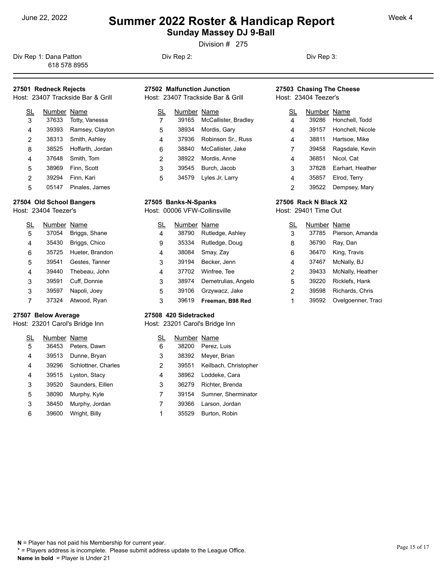**Sunday Massey DJ 9-Ball** 

Division # 275

Div Rep 1: Dana Patton **Div Rep 2:** Div Rep 2: Div Rep 3: 618 578 8955

### **27501 Redneck Rejects**

Host: 23407 Trackside Bar & Grill

| SL             | Number Name |                  | SL | Numb  |
|----------------|-------------|------------------|----|-------|
| 3              | 37633       | Totty, Vanessa   |    | 39165 |
| $\overline{4}$ | 39393       | Ramsey, Clayton  | 5  | 38934 |
| $\overline{2}$ | 38313       | Smith, Ashley    | 4  | 37936 |
| 8              | 38525       | Hoffarth, Jordan | 6  | 38840 |
| $\overline{4}$ | 37648       | Smith, Tom       | 2  | 38922 |
| 5              | 38969       | Finn, Scott      | 3  | 39545 |
| $\overline{2}$ | 39294       | Finn, Kari       | 5  | 34579 |
| 5              | 05147       | Pinales, James   |    |       |

#### **27504 Old School Bangers**

Host: 23404 Teezer's

| <u>SL</u> | Number Name |                 | <u>SL</u> |  |
|-----------|-------------|-----------------|-----------|--|
| 5         | 37054       | Briggs, Shane   | 4         |  |
| 4         | 35430       | Briggs, Chico   | 9         |  |
| 6         | 35725       | Hueter, Brandon | 4         |  |
| 5         | 39541       | Gestes, Tanner  | 3         |  |
| 4         | 39440       | Thebeau, John   | 4         |  |
| 3         | 39591       | Cuff, Donnie    | 3         |  |
| 3         | 39597       | Napoli, Joey    | 5         |  |
|           | 37324       | Atwood, Ryan    | 3         |  |

#### **27507 Below Average**

Host: 23201 Carol's Bridge Inn

| <u>SL</u> | Number Name |                     |   |  |
|-----------|-------------|---------------------|---|--|
| 5         | 36453       | Peters, Dawn        | 6 |  |
| 4         | 39513       | Dunne, Bryan        | 3 |  |
| 4         | 39296       | Schlottner, Charles | 2 |  |
| 4         | 39515       | Lyston, Stacy       | 4 |  |
| 3         | 39520       | Saunders, Eillen    | 3 |  |
| 5         | 38090       | Murphy, Kyle        | 7 |  |
| 3         | 38450       | Murphy, Jordan      |   |  |
| 6         | 39600       | Wright, Billy       |   |  |

### **27502 Malfunction Junction**

Host: 23407 Trackside Bar & Grill

| SL | Number Name |                            | SL | N |
|----|-------------|----------------------------|----|---|
| 7  |             | 39165 McCallister, Bradley | 4  |   |
| 5  | 38934       | Mordis, Gary               | 4  |   |
| 4  |             | 37936 Robinson Sr., Russ   | 4  |   |
| 6  |             | 38840 McCallister, Jake    | 7  |   |
| 2  |             | 38922 Mordis, Anne         | 4  |   |
| 3  | 39545       | Burch, Jacob               | 3  |   |
| 5  |             | 34579 Lyles Jr, Larry      | 4  |   |

#### **27505 Banks-N-Spanks**

Host: 00006 VFW-Collinsville

| SL             | Number Name |                     | SL | Nur             |
|----------------|-------------|---------------------|----|-----------------|
| $\overline{4}$ | 38790       | Rutledge, Ashley    | 3  | 37              |
| 9              | 35334       | Rutledge, Doug      | 8  | 36              |
| $\overline{4}$ | 38084       | Smay, Zay           | 6  | $36-$           |
| 3              | 39194       | Becker, Jenn        | 4  | 37 <sub>0</sub> |
| 4              | 37702       | Winfree, Tee        | 2  | 39 <sub>0</sub> |
| 3              | 38974       | Demetrulias, Angelo | 5  | 39              |
| 5              | 39106       | Grzywacz, Jake      | 2  | 39              |
| 3              | 39619       | Freeman, B98 Red    |    | 39              |

#### **27508 420 Sidetracked**

Host: 23201 Carol's Bridge Inn

| SL | Number Name |                       |
|----|-------------|-----------------------|
| 6  |             | 38200 Perez, Luis     |
| 3  | 38392       | Meyer, Brian          |
| 2  | 39551       | Keilbach, Christopher |
| 4  |             | 38962 Loddeke, Cara   |
| 3  | 36279       | Richter, Brenda       |
| 7  | 39154       | Sumner, Sherminator   |
|    | 39366       | Larson, Jordan        |
| 1  | 35529       | Burton, Robin         |

#### **27503 Chasing The Cheese** Host: 23404 Teezer's

| SL | Number Name |                  |
|----|-------------|------------------|
| 4  | 39286       | Honchell, Todd   |
| 4  | 39157       | Honchell, Nicole |
| 4  | 38811       | Hartsoe, Mike    |
| 7  | 39458       | Ragsdale, Kevin  |
| 4  | 36851       | Nicol, Cat       |
| 3  | 37828       | Earhart, Heather |
| 4  | 35857       | Elrod, Terry     |
| 2  | 39522       | Dempsey, Mary    |

#### **27506 Rack N Black X2**

Host: 29401 Time Out

| <u>SL</u> | Number Name |                       |
|-----------|-------------|-----------------------|
| 3         |             | 37785 Pierson, Amanda |
| 8         | 36790       | Ray, Dan              |
| 6         | 36470       | King, Travis          |
| 4         | 37467       | McNally, BJ           |
| 2         | 39433       | McNally, Heather      |
| 5         | 39220       | Ricklefs, Hank        |
| 2         | 39598       | Richards, Chris       |
| 1         | 39592       | Ovelgoenner, Traci    |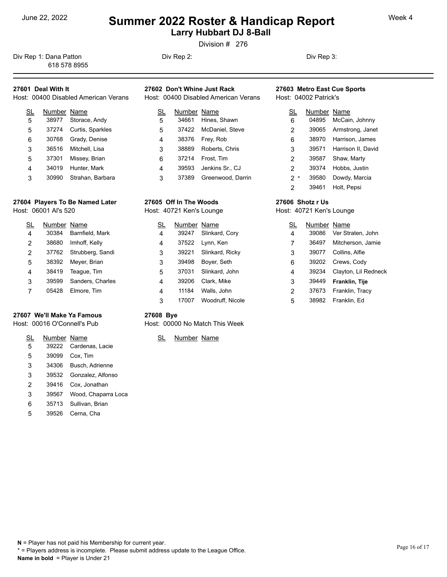**Larry Hubbart DJ 8-Ball** 

Division # 276

Div Rep 1: Dana Patton **Div Rep 2:** Div Rep 2: Div Rep 3: Div Rep 3: 618 578 8955

### **27601 Deal With It**

| Host: 00400 Disabled American Verans | Host:       |  |
|--------------------------------------|-------------|--|
|                                      | Number Name |  |

| 5 |       | 38977 Storace, Andy    | 5 |
|---|-------|------------------------|---|
| 5 |       | 37274 Curtis, Sparkles | 5 |
| 6 | 30768 | Grady, Denise          | 4 |
| 3 |       | 36516 Mitchell, Lisa   | 3 |
| 5 | 37301 | Missey, Brian          | 6 |
|   | 34019 | Hunter, Mark           |   |
| 3 | 30990 | Strahan, Barbara       | 3 |

### **27604 Players To Be Named Later**

Host: 06001 Al's 520

| SL             | Number Name |                        | SL | Numbe |
|----------------|-------------|------------------------|----|-------|
| $\overline{4}$ | 30384       | Barnfield, Mark        | 4  | 39247 |
| 2              | 38680       | Imhoff, Kelly          | 4  | 37522 |
| 2              |             | 37762 Strubberg, Sandi | 3  | 39221 |
| 5              | 38392       | Meyer, Brian           | 3  | 39498 |
| 4              | 38419       | Teaque, Tim            | 5  | 37031 |
| 3              | 39599       | Sanders, Charles       | 4  | 39206 |
|                | 05428       | Elmore, Tim            | 4  | 11184 |

#### **27607 We'll Make Ya Famous**

#### Host: 00016 O'Connell's Pub

| SL | Number Name |                         | Numt |
|----|-------------|-------------------------|------|
| 5  |             | 39222 Cardenas, Lacie   |      |
| 5  | 39099       | Cox. Tim                |      |
| 3  | 34306       | Busch, Adrienne         |      |
| 3  |             | 39532 Gonzalez, Alfonso |      |
| 2  |             | 39416 Cox, Jonathan     |      |
| 3  | 39567       | Wood, Chaparra Loca     |      |
| 6  |             | 35713 Sullivan, Brian   |      |
| 5  | 39526       | Cerna, Cha              |      |

## **27602 Don't Whine Just Rack**

Host: 00400 Disabled American Verans

| SL             | Number Name |                       | SL      | Numl |
|----------------|-------------|-----------------------|---------|------|
| 5              | 34661       | Hines, Shawn          | 6       | 0489 |
| 5              |             | 37422 McDaniel, Steve | 2       | 3906 |
| $\overline{4}$ | 38376       | Frey, Rob             | 6       | 3897 |
| 3              | 38889       | Roberts, Chris        | 3       | 3957 |
| 6              | 37214       | Frost, Tim            | 2       | 3958 |
| $\overline{4}$ | 39593       | Jenkins Sr., CJ       | 2       | 3937 |
| 3              | 37389       | Greenwood, Darrin     | $\star$ | 3958 |

## **27605 Off In The Woods**

Host: 40721 Ken's Lounge

| <u>SL</u>      | Number Name |                  | <u>SL</u> |
|----------------|-------------|------------------|-----------|
| $\overline{4}$ | 39247       | Slinkard, Cory   | 4         |
| $\overline{4}$ | 37522       | Lynn, Ken        | 7         |
| 3              | 39221       | Slinkard, Ricky  | 3         |
| 3              | 39498       | Boyer, Seth      | 6         |
| 5              | 37031       | Slinkard, John   | 4         |
| 4              | 39206       | Clark, Mike      | 3         |
| 4              | 11184       | Walls, John      | 2         |
| 3              | 17007       | Woodruff, Nicole | 5         |

#### **27603 Metro East Cue Sports** Host: 04002 Patrick's

| SL    | Number Name |                          |
|-------|-------------|--------------------------|
| 6     | 04895       | McCain, Johnny           |
| 2     |             | 39065 Armstrong, Janet   |
| 6     | 38970       | Harrison, James          |
| 3     |             | 39571 Harrison II, David |
| 2     | 39587       | Shaw, Marty              |
| 2     | 39374       | Hobbs, Justin            |
| $2^*$ | 39580       | Dowdy, Marcia            |
| 2     | 39461       | Holt, Pepsi              |

#### **27606 Shotz r Us**

Host: 40721 Ken's Lounge

| SL | Number Name |                      |
|----|-------------|----------------------|
| 4  | 39086       | Ver Straten, John    |
| 7  | 36497       | Mitcherson, Jamie    |
| 3  | 39077       | Collins, Alfie       |
| 6  | 39202       | Crews, Cody          |
| 4  | 39234       | Clayton, Lil Redneck |
| 3  | 39449       | Franklin, Tije       |
| 2  | 37673       | Franklin, Tracy      |
| 5  | 38982       | Franklin, Ed         |

#### **27608 Bye**

Host: 00000 No Match This Week